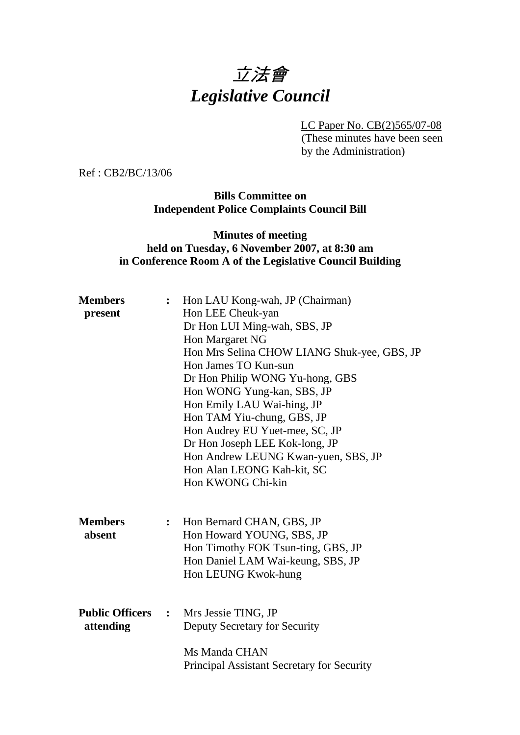# 立法會 *Legislative Council*

LC Paper No. CB(2)565/07-08

(These minutes have been seen by the Administration)

Ref : CB2/BC/13/06

#### **Bills Committee on Independent Police Complaints Council Bill**

#### **Minutes of meeting held on Tuesday, 6 November 2007, at 8:30 am in Conference Room A of the Legislative Council Building**

| <b>Members</b><br>present             | $\ddot{\cdot}$          | Hon LAU Kong-wah, JP (Chairman)<br>Hon LEE Cheuk-yan<br>Dr Hon LUI Ming-wah, SBS, JP<br>Hon Margaret NG<br>Hon Mrs Selina CHOW LIANG Shuk-yee, GBS, JP<br>Hon James TO Kun-sun<br>Dr Hon Philip WONG Yu-hong, GBS<br>Hon WONG Yung-kan, SBS, JP<br>Hon Emily LAU Wai-hing, JP<br>Hon TAM Yiu-chung, GBS, JP<br>Hon Audrey EU Yuet-mee, SC, JP<br>Dr Hon Joseph LEE Kok-long, JP<br>Hon Andrew LEUNG Kwan-yuen, SBS, JP<br>Hon Alan LEONG Kah-kit, SC |
|---------------------------------------|-------------------------|------------------------------------------------------------------------------------------------------------------------------------------------------------------------------------------------------------------------------------------------------------------------------------------------------------------------------------------------------------------------------------------------------------------------------------------------------|
| <b>Members</b><br>absent              | : $\hfill \blacksquare$ | Hon KWONG Chi-kin<br>Hon Bernard CHAN, GBS, JP<br>Hon Howard YOUNG, SBS, JP<br>Hon Timothy FOK Tsun-ting, GBS, JP<br>Hon Daniel LAM Wai-keung, SBS, JP<br>Hon LEUNG Kwok-hung                                                                                                                                                                                                                                                                        |
| <b>Public Officers :</b><br>attending |                         | Mrs Jessie TING, JP<br>Deputy Secretary for Security<br>Ms Manda CHAN<br>Principal Assistant Secretary for Security                                                                                                                                                                                                                                                                                                                                  |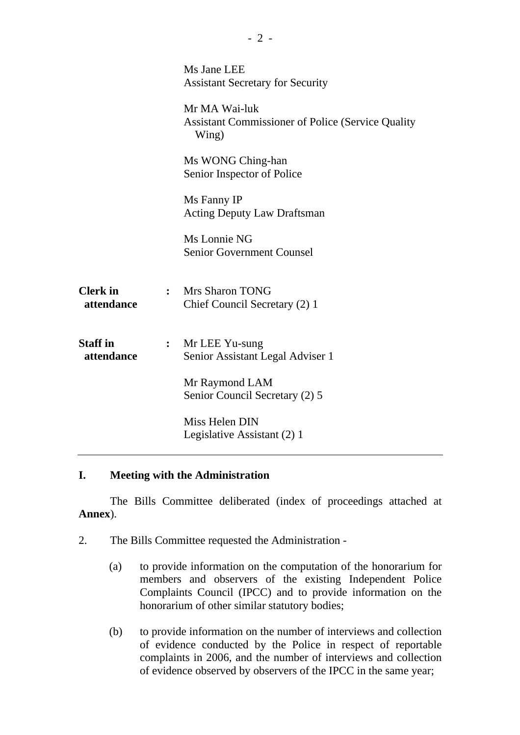|                               |              | Ms Jane LEE<br><b>Assistant Secretary for Security</b>                              |  |
|-------------------------------|--------------|-------------------------------------------------------------------------------------|--|
|                               |              | Mr MA Wai-luk<br><b>Assistant Commissioner of Police (Service Quality)</b><br>Wing) |  |
|                               |              | Ms WONG Ching-han<br>Senior Inspector of Police                                     |  |
|                               |              | Ms Fanny IP<br><b>Acting Deputy Law Draftsman</b>                                   |  |
|                               |              | Ms Lonnie NG<br><b>Senior Government Counsel</b>                                    |  |
| <b>Clerk</b> in<br>attendance | $\mathbf{L}$ | Mrs Sharon TONG<br>Chief Council Secretary (2) 1                                    |  |
| <b>Staff</b> in<br>attendance | :            | Mr LEE Yu-sung<br>Senior Assistant Legal Adviser 1                                  |  |
|                               |              | Mr Raymond LAM<br>Senior Council Secretary (2) 5                                    |  |
|                               |              | Miss Helen DIN<br>Legislative Assistant (2) 1                                       |  |

## **I. Meeting with the Administration**

1. The Bills Committee deliberated (index of proceedings attached at **Annex**).

- 2. The Bills Committee requested the Administration
	- (a) to provide information on the computation of the honorarium for members and observers of the existing Independent Police Complaints Council (IPCC) and to provide information on the honorarium of other similar statutory bodies;
	- (b) to provide information on the number of interviews and collection of evidence conducted by the Police in respect of reportable complaints in 2006, and the number of interviews and collection of evidence observed by observers of the IPCC in the same year;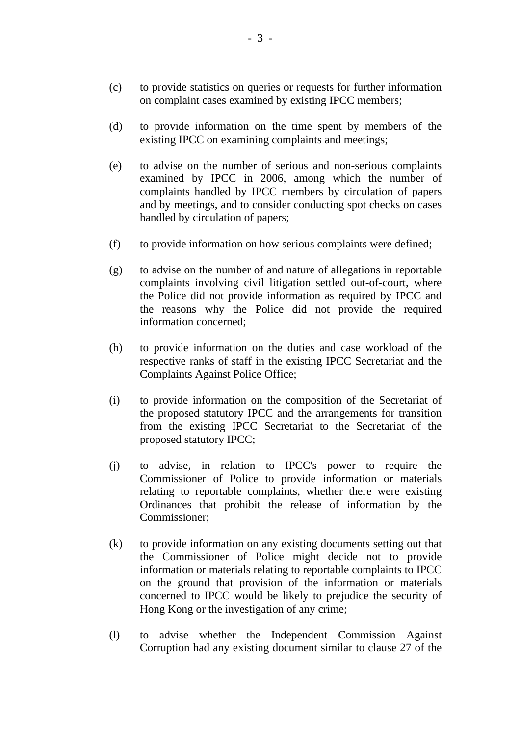- (c) to provide statistics on queries or requests for further information on complaint cases examined by existing IPCC members;
- (d) to provide information on the time spent by members of the existing IPCC on examining complaints and meetings;
- (e) to advise on the number of serious and non-serious complaints examined by IPCC in 2006, among which the number of complaints handled by IPCC members by circulation of papers and by meetings, and to consider conducting spot checks on cases handled by circulation of papers;
- (f) to provide information on how serious complaints were defined;
- (g) to advise on the number of and nature of allegations in reportable complaints involving civil litigation settled out-of-court, where the Police did not provide information as required by IPCC and the reasons why the Police did not provide the required information concerned;
- (h) to provide information on the duties and case workload of the respective ranks of staff in the existing IPCC Secretariat and the Complaints Against Police Office;
- (i) to provide information on the composition of the Secretariat of the proposed statutory IPCC and the arrangements for transition from the existing IPCC Secretariat to the Secretariat of the proposed statutory IPCC;
- (j) to advise, in relation to IPCC's power to require the Commissioner of Police to provide information or materials relating to reportable complaints, whether there were existing Ordinances that prohibit the release of information by the Commissioner;
- (k) to provide information on any existing documents setting out that the Commissioner of Police might decide not to provide information or materials relating to reportable complaints to IPCC on the ground that provision of the information or materials concerned to IPCC would be likely to prejudice the security of Hong Kong or the investigation of any crime;
- (l) to advise whether the Independent Commission Against Corruption had any existing document similar to clause 27 of the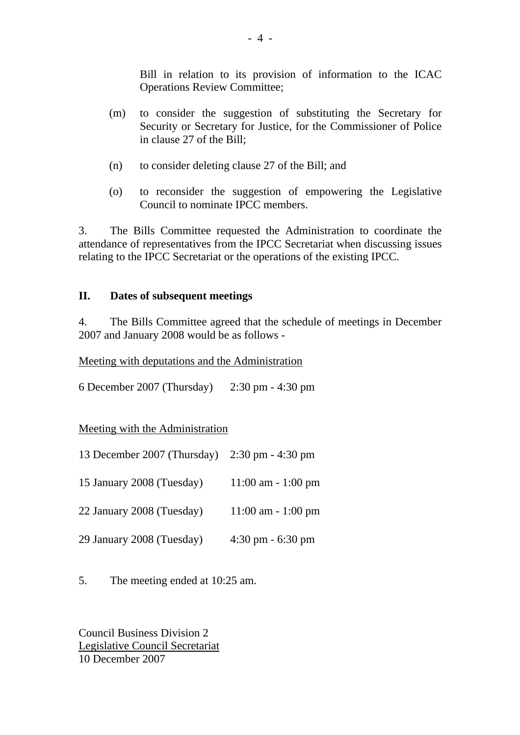Bill in relation to its provision of information to the ICAC Operations Review Committee;

- (m) to consider the suggestion of substituting the Secretary for Security or Secretary for Justice, for the Commissioner of Police in clause 27 of the Bill;
- (n) to consider deleting clause 27 of the Bill; and
- (o) to reconsider the suggestion of empowering the Legislative Council to nominate IPCC members.

3. The Bills Committee requested the Administration to coordinate the attendance of representatives from the IPCC Secretariat when discussing issues relating to the IPCC Secretariat or the operations of the existing IPCC.

### **II. Dates of subsequent meetings**

4. The Bills Committee agreed that the schedule of meetings in December 2007 and January 2008 would be as follows -

Meeting with deputations and the Administration

6 December 2007 (Thursday) 2:30 pm - 4:30 pm

Meeting with the Administration

| 13 December 2007 (Thursday) | $2:30 \text{ pm} - 4:30 \text{ pm}$ |
|-----------------------------|-------------------------------------|
| 15 January 2008 (Tuesday)   | $11:00$ am $-1:00$ pm               |
| 22 January 2008 (Tuesday)   | $11:00$ am $-1:00$ pm               |
| 29 January 2008 (Tuesday)   | $4:30 \text{ pm} - 6:30 \text{ pm}$ |

5. The meeting ended at 10:25 am.

Council Business Division 2 Legislative Council Secretariat 10 December 2007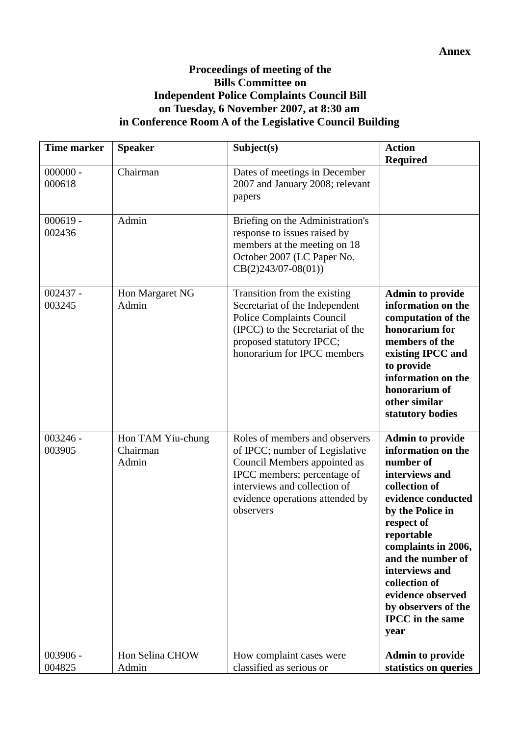## **Proceedings of meeting of the Bills Committee on Independent Police Complaints Council Bill on Tuesday, 6 November 2007, at 8:30 am in Conference Room A of the Legislative Council Building**

| <b>Time marker</b>   | <b>Speaker</b>                         | Subject(s)                                                                                                                                                                                                      | <b>Action</b><br><b>Required</b>                                                                                                                                                                                                                                                                                                  |
|----------------------|----------------------------------------|-----------------------------------------------------------------------------------------------------------------------------------------------------------------------------------------------------------------|-----------------------------------------------------------------------------------------------------------------------------------------------------------------------------------------------------------------------------------------------------------------------------------------------------------------------------------|
| $000000 -$<br>000618 | Chairman                               | Dates of meetings in December<br>2007 and January 2008; relevant<br>papers                                                                                                                                      |                                                                                                                                                                                                                                                                                                                                   |
| $000619 -$<br>002436 | Admin                                  | Briefing on the Administration's<br>response to issues raised by<br>members at the meeting on 18<br>October 2007 (LC Paper No.<br>$CB(2)243/07-08(01))$                                                         |                                                                                                                                                                                                                                                                                                                                   |
| $002437 -$<br>003245 | Hon Margaret NG<br>Admin               | Transition from the existing<br>Secretariat of the Independent<br><b>Police Complaints Council</b><br>(IPCC) to the Secretariat of the<br>proposed statutory IPCC;<br>honorarium for IPCC members               | <b>Admin to provide</b><br>information on the<br>computation of the<br>honorarium for<br>members of the<br>existing IPCC and<br>to provide<br>information on the<br>honorarium of<br>other similar<br>statutory bodies                                                                                                            |
| $003246 -$<br>003905 | Hon TAM Yiu-chung<br>Chairman<br>Admin | Roles of members and observers<br>of IPCC; number of Legislative<br>Council Members appointed as<br>IPCC members; percentage of<br>interviews and collection of<br>evidence operations attended by<br>observers | <b>Admin to provide</b><br>information on the<br>number of<br>interviews and<br>collection of<br>evidence conducted<br>by the Police in<br>respect of<br>reportable<br>complaints in 2006,<br>and the number of<br>interviews and<br>collection of<br>evidence observed<br>by observers of the<br><b>IPCC</b> in the same<br>year |
| 003906 -<br>004825   | Hon Selina CHOW<br>Admin               | How complaint cases were<br>classified as serious or                                                                                                                                                            | <b>Admin to provide</b><br>statistics on queries                                                                                                                                                                                                                                                                                  |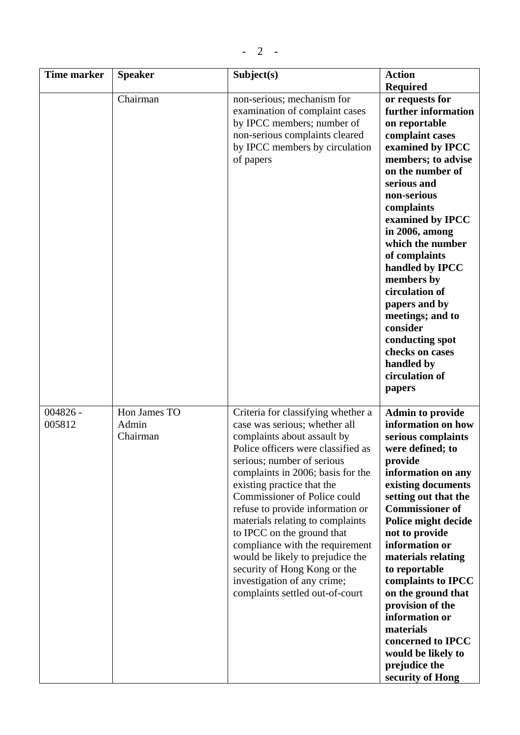| <b>Time marker</b>   | <b>Speaker</b>                    | Subject(s)                                                                                                                                                                                                                                                                                                                                                                                                                                                                                                                                               | <b>Action</b>                                                                                                                                                                                                                                                                                                                                                                                                                                                                     |
|----------------------|-----------------------------------|----------------------------------------------------------------------------------------------------------------------------------------------------------------------------------------------------------------------------------------------------------------------------------------------------------------------------------------------------------------------------------------------------------------------------------------------------------------------------------------------------------------------------------------------------------|-----------------------------------------------------------------------------------------------------------------------------------------------------------------------------------------------------------------------------------------------------------------------------------------------------------------------------------------------------------------------------------------------------------------------------------------------------------------------------------|
|                      | Chairman                          | non-serious; mechanism for<br>examination of complaint cases<br>by IPCC members; number of<br>non-serious complaints cleared<br>by IPCC members by circulation<br>of papers                                                                                                                                                                                                                                                                                                                                                                              | <b>Required</b><br>or requests for<br>further information<br>on reportable<br>complaint cases<br>examined by IPCC<br>members; to advise<br>on the number of<br>serious and<br>non-serious<br>complaints<br>examined by IPCC<br>in 2006, among<br>which the number<br>of complaints<br>handled by IPCC<br>members by<br>circulation of<br>papers and by<br>meetings; and to<br>consider<br>conducting spot<br>checks on cases<br>handled by<br>circulation of<br>papers            |
| $004826 -$<br>005812 | Hon James TO<br>Admin<br>Chairman | Criteria for classifying whether a<br>case was serious; whether all<br>complaints about assault by<br>Police officers were classified as<br>serious; number of serious<br>complaints in 2006; basis for the<br>existing practice that the<br>Commissioner of Police could<br>refuse to provide information or<br>materials relating to complaints<br>to IPCC on the ground that<br>compliance with the requirement<br>would be likely to prejudice the<br>security of Hong Kong or the<br>investigation of any crime;<br>complaints settled out-of-court | <b>Admin to provide</b><br>information on how<br>serious complaints<br>were defined; to<br>provide<br>information on any<br>existing documents<br>setting out that the<br><b>Commissioner of</b><br>Police might decide<br>not to provide<br>information or<br>materials relating<br>to reportable<br>complaints to IPCC<br>on the ground that<br>provision of the<br>information or<br>materials<br>concerned to IPCC<br>would be likely to<br>prejudice the<br>security of Hong |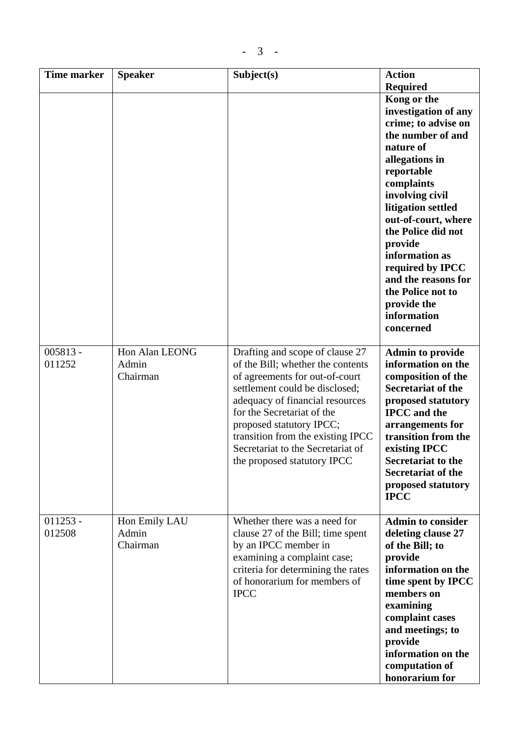| <b>Time marker</b>   | <b>Speaker</b>                      | Subject(s)                                                                                                                                                                                                                                                                                                                                     | <b>Action</b>                                                                                                                                                                                                                                                                                                                                                                               |
|----------------------|-------------------------------------|------------------------------------------------------------------------------------------------------------------------------------------------------------------------------------------------------------------------------------------------------------------------------------------------------------------------------------------------|---------------------------------------------------------------------------------------------------------------------------------------------------------------------------------------------------------------------------------------------------------------------------------------------------------------------------------------------------------------------------------------------|
|                      |                                     |                                                                                                                                                                                                                                                                                                                                                | <b>Required</b><br>Kong or the<br>investigation of any<br>crime; to advise on<br>the number of and<br>nature of<br>allegations in<br>reportable<br>complaints<br>involving civil<br>litigation settled<br>out-of-court, where<br>the Police did not<br>provide<br>information as<br>required by IPCC<br>and the reasons for<br>the Police not to<br>provide the<br>information<br>concerned |
| $005813 -$<br>011252 | Hon Alan LEONG<br>Admin<br>Chairman | Drafting and scope of clause 27<br>of the Bill; whether the contents<br>of agreements for out-of-court<br>settlement could be disclosed;<br>adequacy of financial resources<br>for the Secretariat of the<br>proposed statutory IPCC;<br>transition from the existing IPCC<br>Secretariat to the Secretariat of<br>the proposed statutory IPCC | <b>Admin to provide</b><br>information on the<br>composition of the<br><b>Secretariat of the</b><br>proposed statutory<br><b>IPCC</b> and the<br>arrangements for<br>transition from the<br>existing IPCC<br><b>Secretariat to the</b><br><b>Secretariat of the</b><br>proposed statutory<br><b>IPCC</b>                                                                                    |
| $011253 -$<br>012508 | Hon Emily LAU<br>Admin<br>Chairman  | Whether there was a need for<br>clause 27 of the Bill; time spent<br>by an IPCC member in<br>examining a complaint case;<br>criteria for determining the rates<br>of honorarium for members of<br><b>IPCC</b>                                                                                                                                  | <b>Admin to consider</b><br>deleting clause 27<br>of the Bill; to<br>provide<br>information on the<br>time spent by IPCC<br>members on<br>examining<br>complaint cases<br>and meetings; to<br>provide<br>information on the<br>computation of<br>honorarium for                                                                                                                             |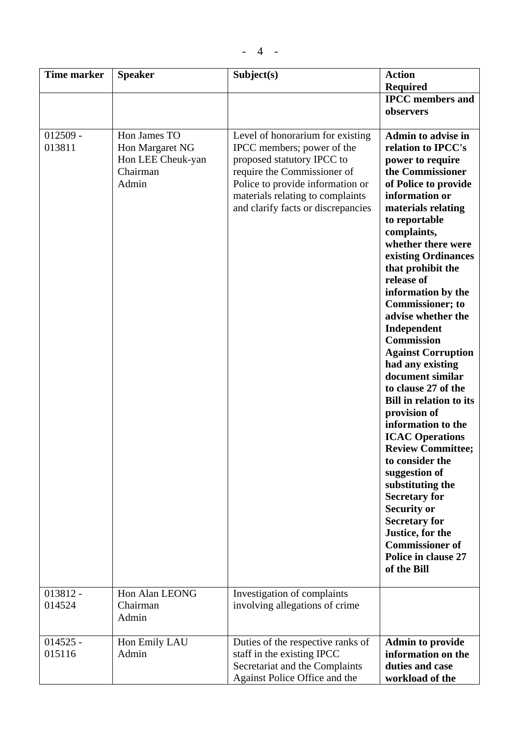| <b>Time marker</b>   | <b>Speaker</b>                                                            | Subject(s)                                                                                                                                                                                                                                | <b>Action</b>                                                                                                                                                                                                                                                                                                                                                                                                                                                                                                                                                                                                                                                                                                                                                                                                                  |
|----------------------|---------------------------------------------------------------------------|-------------------------------------------------------------------------------------------------------------------------------------------------------------------------------------------------------------------------------------------|--------------------------------------------------------------------------------------------------------------------------------------------------------------------------------------------------------------------------------------------------------------------------------------------------------------------------------------------------------------------------------------------------------------------------------------------------------------------------------------------------------------------------------------------------------------------------------------------------------------------------------------------------------------------------------------------------------------------------------------------------------------------------------------------------------------------------------|
|                      |                                                                           |                                                                                                                                                                                                                                           | <b>Required</b>                                                                                                                                                                                                                                                                                                                                                                                                                                                                                                                                                                                                                                                                                                                                                                                                                |
|                      |                                                                           |                                                                                                                                                                                                                                           | <b>IPCC</b> members and<br>observers                                                                                                                                                                                                                                                                                                                                                                                                                                                                                                                                                                                                                                                                                                                                                                                           |
| $012509 -$<br>013811 | Hon James TO<br>Hon Margaret NG<br>Hon LEE Cheuk-yan<br>Chairman<br>Admin | Level of honorarium for existing<br>IPCC members; power of the<br>proposed statutory IPCC to<br>require the Commissioner of<br>Police to provide information or<br>materials relating to complaints<br>and clarify facts or discrepancies | <b>Admin to advise in</b><br>relation to IPCC's<br>power to require<br>the Commissioner<br>of Police to provide<br>information or<br>materials relating<br>to reportable<br>complaints,<br>whether there were<br>existing Ordinances<br>that prohibit the<br>release of<br>information by the<br><b>Commissioner; to</b><br>advise whether the<br>Independent<br><b>Commission</b><br><b>Against Corruption</b><br>had any existing<br>document similar<br>to clause 27 of the<br><b>Bill in relation to its</b><br>provision of<br>information to the<br><b>ICAC Operations</b><br><b>Review Committee;</b><br>to consider the<br>suggestion of<br>substituting the<br><b>Secretary for</b><br><b>Security or</b><br><b>Secretary for</b><br>Justice, for the<br><b>Commissioner of</b><br>Police in clause 27<br>of the Bill |
| $013812 -$<br>014524 | Hon Alan LEONG<br>Chairman<br>Admin                                       | Investigation of complaints<br>involving allegations of crime                                                                                                                                                                             |                                                                                                                                                                                                                                                                                                                                                                                                                                                                                                                                                                                                                                                                                                                                                                                                                                |
| $014525 -$<br>015116 | Hon Emily LAU<br>Admin                                                    | Duties of the respective ranks of<br>staff in the existing IPCC<br>Secretariat and the Complaints<br>Against Police Office and the                                                                                                        | <b>Admin to provide</b><br>information on the<br>duties and case<br>workload of the                                                                                                                                                                                                                                                                                                                                                                                                                                                                                                                                                                                                                                                                                                                                            |